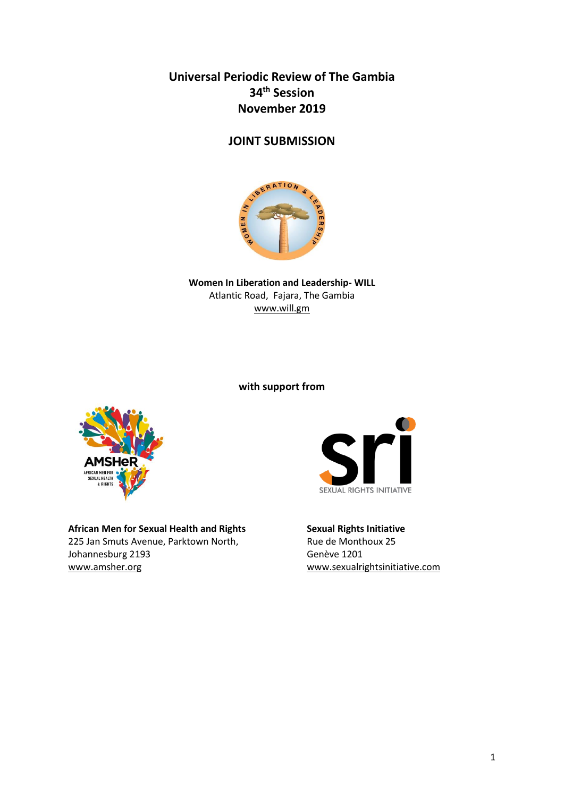**Universal Periodic Review of The Gambia 34th Session November 2019**

# **JOINT SUBMISSION**



**Women In Liberation and Leadership- WILL** Atlantic Road, Fajara, The Gambia [www.will.gm](http://www.will.gm/)

**with support from**



**African Men for Sexual Health and Rights Sexual Rights Initiative**  225 Jan Smuts Avenue, Parktown North, Johannesburg 2193 Genève 1201 [www.amsher.org](http://www.amsher.org/) [www.sexualrightsinitiative.com](http://www.sexualrightsinitiative.com/)

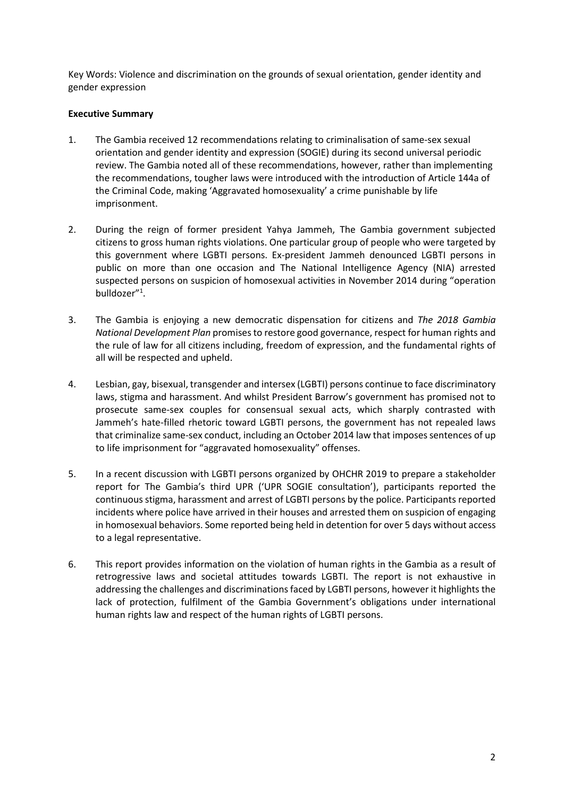Key Words: Violence and discrimination on the grounds of sexual orientation, gender identity and gender expression

## **Executive Summary**

- 1. The Gambia received 12 recommendations relating to criminalisation of same-sex sexual orientation and gender identity and expression (SOGIE) during its second universal periodic review. The Gambia noted all of these recommendations, however, rather than implementing the recommendations, tougher laws were introduced with the introduction of Article 144a of the Criminal Code, making 'Aggravated homosexuality' a crime punishable by life imprisonment.
- 2. During the reign of former president Yahya Jammeh, The Gambia government subjected citizens to gross human rights violations. One particular group of people who were targeted by this government where LGBTI persons. Ex-president Jammeh denounced LGBTI persons in public on more than one occasion and The National Intelligence Agency (NIA) arrested suspected persons on suspicion of homosexual activities in November 2014 during "operation bulldozer"<sup>1</sup>.
- 3. The Gambia is enjoying a new democratic dispensation for citizens and *The 2018 Gambia National Development Plan* promisesto restore good governance, respect for human rights and the rule of law for all citizens including, freedom of expression, and the fundamental rights of all will be respected and upheld.
- 4. Lesbian, gay, bisexual, transgender and intersex (LGBTI) persons continue to face discriminatory laws, stigma and harassment. And whilst President Barrow's government has promised not to prosecute same-sex couples for consensual sexual acts, which sharply contrasted with Jammeh's hate-filled rhetoric toward LGBTI persons, the government has not repealed laws that criminalize same-sex conduct, including an October 2014 law that imposes sentences of up to life imprisonment for "aggravated homosexuality" offenses.
- 5. In a recent discussion with LGBTI persons organized by OHCHR 2019 to prepare a stakeholder report for The Gambia's third UPR ('UPR SOGIE consultation'), participants reported the continuous stigma, harassment and arrest of LGBTI persons by the police. Participants reported incidents where police have arrived in their houses and arrested them on suspicion of engaging in homosexual behaviors. Some reported being held in detention for over 5 days without access to a legal representative.
- 6. This report provides information on the violation of human rights in the Gambia as a result of retrogressive laws and societal attitudes towards LGBTI. The report is not exhaustive in addressing the challenges and discriminations faced by LGBTI persons, however it highlights the lack of protection, fulfilment of the Gambia Government's obligations under international human rights law and respect of the human rights of LGBTI persons.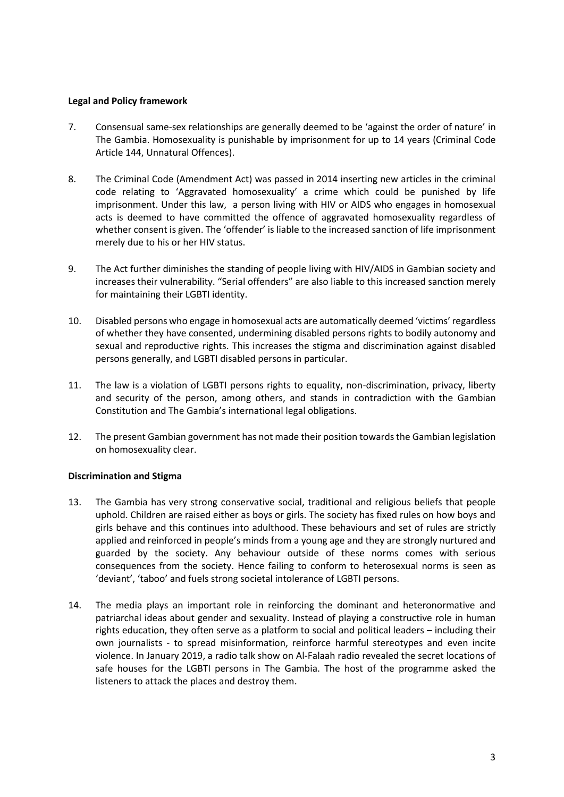## **Legal and Policy framework**

- 7. Consensual same-sex relationships are generally deemed to be 'against the order of nature' in The Gambia. Homosexuality is punishable by imprisonment for up to 14 years (Criminal Code Article 144, Unnatural Offences).
- 8. The Criminal Code (Amendment Act) was passed in 2014 inserting new articles in the criminal code relating to 'Aggravated homosexuality' a crime which could be punished by life imprisonment. Under this law, a person living with HIV or AIDS who engages in homosexual acts is deemed to have committed the offence of aggravated homosexuality regardless of whether consent is given. The 'offender' is liable to the increased sanction of life imprisonment merely due to his or her HIV status.
- 9. The Act further diminishes the standing of people living with HIV/AIDS in Gambian society and increases their vulnerability. "Serial offenders" are also liable to this increased sanction merely for maintaining their LGBTI identity.
- 10. Disabled persons who engage in homosexual acts are automatically deemed 'victims' regardless of whether they have consented, undermining disabled persons rights to bodily autonomy and sexual and reproductive rights. This increases the stigma and discrimination against disabled persons generally, and LGBTI disabled persons in particular.
- 11. The law is a violation of LGBTI persons rights to equality, non-discrimination, privacy, liberty and security of the person, among others, and stands in contradiction with the Gambian Constitution and The Gambia's international legal obligations.
- 12. The present Gambian government has not made their position towards the Gambian legislation on homosexuality clear.

## **Discrimination and Stigma**

- 13. The Gambia has very strong conservative social, traditional and religious beliefs that people uphold. Children are raised either as boys or girls. The society has fixed rules on how boys and girls behave and this continues into adulthood. These behaviours and set of rules are strictly applied and reinforced in people's minds from a young age and they are strongly nurtured and guarded by the society. Any behaviour outside of these norms comes with serious consequences from the society. Hence failing to conform to heterosexual norms is seen as 'deviant', 'taboo' and fuels strong societal intolerance of LGBTI persons.
- 14. The media plays an important role in reinforcing the dominant and heteronormative and patriarchal ideas about gender and sexuality. Instead of playing a constructive role in human rights education, they often serve as a platform to social and political leaders – including their own journalists - to spread misinformation, reinforce harmful stereotypes and even incite violence. In January 2019, a radio talk show on Al-Falaah radio revealed the secret locations of safe houses for the LGBTI persons in The Gambia. The host of the programme asked the listeners to attack the places and destroy them.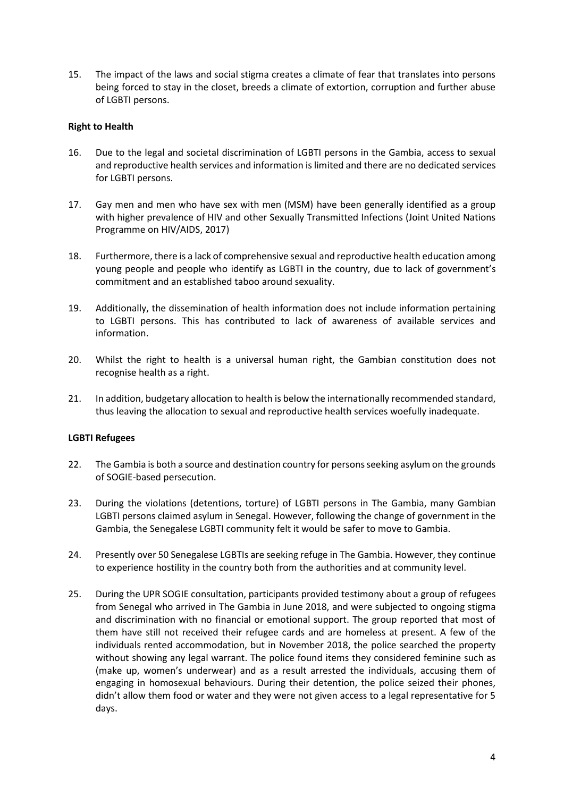15. The impact of the laws and social stigma creates a climate of fear that translates into persons being forced to stay in the closet, breeds a climate of extortion, corruption and further abuse of LGBTI persons.

## **Right to Health**

- 16. Due to the legal and societal discrimination of LGBTI persons in the Gambia, access to sexual and reproductive health services and information is limited and there are no dedicated services for LGBTI persons.
- 17. Gay men and men who have sex with men (MSM) have been generally identified as a group with higher prevalence of HIV and other Sexually Transmitted Infections (Joint United Nations Programme on HIV/AIDS, 2017)
- 18. Furthermore, there is a lack of comprehensive sexual and reproductive health education among young people and people who identify as LGBTI in the country, due to lack of government's commitment and an established taboo around sexuality.
- 19. Additionally, the dissemination of health information does not include information pertaining to LGBTI persons. This has contributed to lack of awareness of available services and information.
- 20. Whilst the right to health is a universal human right, the Gambian constitution does not recognise health as a right.
- 21. In addition, budgetary allocation to health is below the internationally recommended standard, thus leaving the allocation to sexual and reproductive health services woefully inadequate.

### **LGBTI Refugees**

- 22. The Gambia is both a source and destination country for persons seeking asylum on the grounds of SOGIE-based persecution.
- 23. During the violations (detentions, torture) of LGBTI persons in The Gambia, many Gambian LGBTI persons claimed asylum in Senegal. However, following the change of government in the Gambia, the Senegalese LGBTI community felt it would be safer to move to Gambia.
- 24. Presently over 50 Senegalese LGBTIs are seeking refuge in The Gambia. However, they continue to experience hostility in the country both from the authorities and at community level.
- 25. During the UPR SOGIE consultation, participants provided testimony about a group of refugees from Senegal who arrived in The Gambia in June 2018, and were subjected to ongoing stigma and discrimination with no financial or emotional support. The group reported that most of them have still not received their refugee cards and are homeless at present. A few of the individuals rented accommodation, but in November 2018, the police searched the property without showing any legal warrant. The police found items they considered feminine such as (make up, women's underwear) and as a result arrested the individuals, accusing them of engaging in homosexual behaviours. During their detention, the police seized their phones, didn't allow them food or water and they were not given access to a legal representative for 5 days.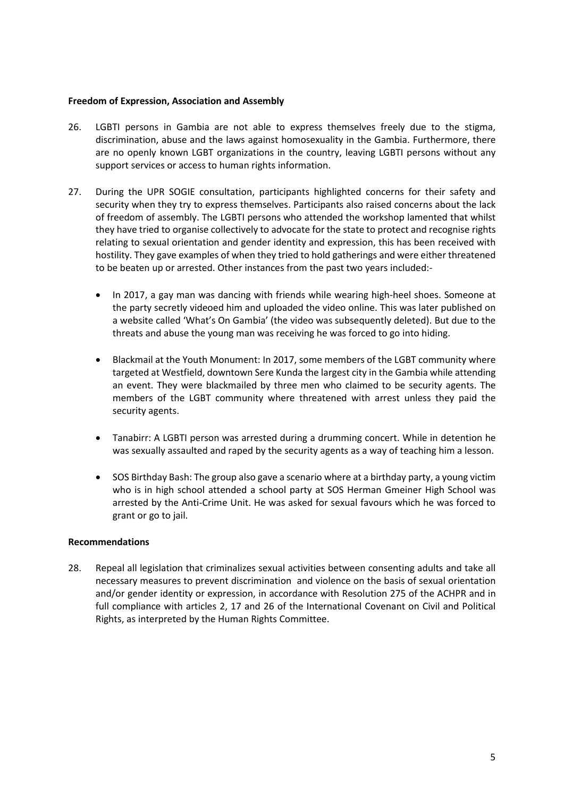### **Freedom of Expression, Association and Assembly**

- 26. LGBTI persons in Gambia are not able to express themselves freely due to the stigma, discrimination, abuse and the laws against homosexuality in the Gambia. Furthermore, there are no openly known LGBT organizations in the country, leaving LGBTI persons without any support services or access to human rights information.
- 27. During the UPR SOGIE consultation, participants highlighted concerns for their safety and security when they try to express themselves. Participants also raised concerns about the lack of freedom of assembly. The LGBTI persons who attended the workshop lamented that whilst they have tried to organise collectively to advocate for the state to protect and recognise rights relating to sexual orientation and gender identity and expression, this has been received with hostility. They gave examples of when they tried to hold gatherings and were either threatened to be beaten up or arrested. Other instances from the past two years included:-
	- In 2017, a gay man was dancing with friends while wearing high-heel shoes. Someone at the party secretly videoed him and uploaded the video online. This was later published on a website called 'What's On Gambia' (the video was subsequently deleted). But due to the threats and abuse the young man was receiving he was forced to go into hiding.
	- Blackmail at the Youth Monument: In 2017, some members of the LGBT community where targeted at Westfield, downtown Sere Kunda the largest city in the Gambia while attending an event. They were blackmailed by three men who claimed to be security agents. The members of the LGBT community where threatened with arrest unless they paid the security agents.
	- Tanabirr: A LGBTI person was arrested during a drumming concert. While in detention he was sexually assaulted and raped by the security agents as a way of teaching him a lesson.
	- SOS Birthday Bash: The group also gave a scenario where at a birthday party, a young victim who is in high school attended a school party at SOS Herman Gmeiner High School was arrested by the Anti-Crime Unit. He was asked for sexual favours which he was forced to grant or go to jail.

### **Recommendations**

28. Repeal all legislation that criminalizes sexual activities between consenting adults and take all necessary measures to prevent discrimination and violence on the basis of sexual orientation and/or gender identity or expression, in accordance with Resolution 275 of the ACHPR and in full compliance with articles 2, 17 and 26 of the International Covenant on Civil and Political Rights, as interpreted by the Human Rights Committee.